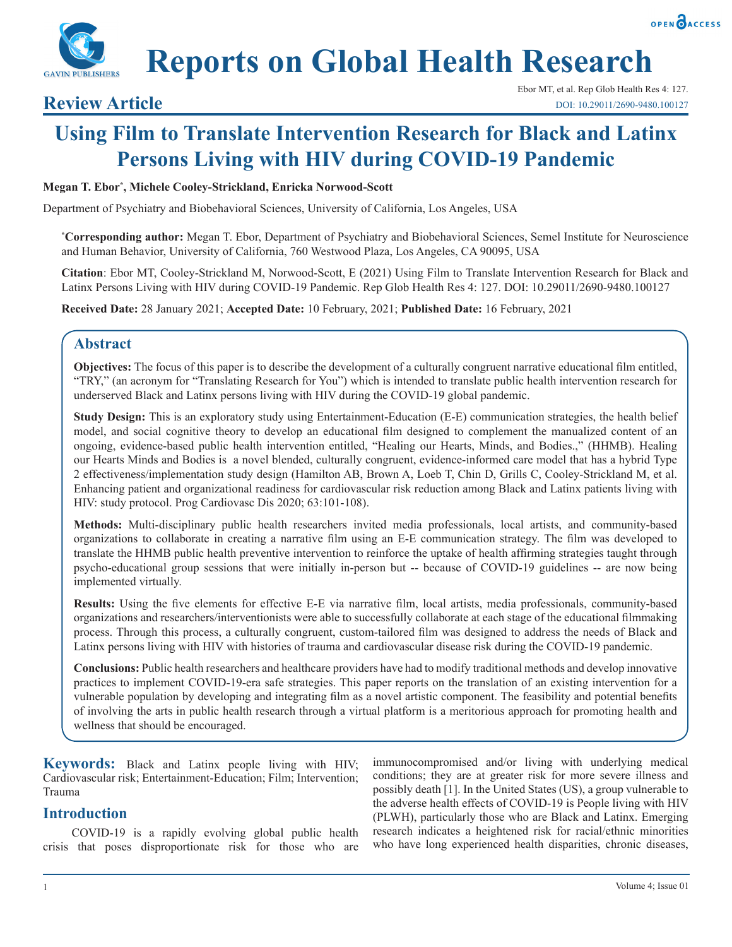



# **Reports on Global Health Research**

## **Using Film to Translate Intervention Research for Black and Latinx Persons Living with HIV during COVID-19 Pandemic**

#### **Megan T. Ebor\* , Michele Cooley-Strickland, Enricka Norwood-Scott**

Department of Psychiatry and Biobehavioral Sciences, University of California, Los Angeles, USA

**\* Corresponding author:** Megan T. Ebor, Department of Psychiatry and Biobehavioral Sciences, Semel Institute for Neuroscience and Human Behavior, University of California, 760 Westwood Plaza, Los Angeles, CA 90095, USA

**Citation**: Ebor MT, Cooley-Strickland M, Norwood-Scott, E (2021) Using Film to Translate Intervention Research for Black and Latinx Persons Living with HIV during COVID-19 Pandemic. Rep Glob Health Res 4: 127. DOI: 10.29011/2690-9480.100127

**Received Date:** 28 January 2021; **Accepted Date:** 10 February, 2021; **Published Date:** 16 February, 2021

### **Abstract**

**Objectives:** The focus of this paper is to describe the development of a culturally congruent narrative educational film entitled, "TRY," (an acronym for "Translating Research for You") which is intended to translate public health intervention research for underserved Black and Latinx persons living with HIV during the COVID-19 global pandemic.

**Study Design:** This is an exploratory study using Entertainment-Education (E-E) communication strategies, the health belief model, and social cognitive theory to develop an educational film designed to complement the manualized content of an ongoing, evidence-based public health intervention entitled, "Healing our Hearts, Minds, and Bodies.," (HHMB). Healing our Hearts Minds and Bodies is a novel blended, culturally congruent, evidence-informed care model that has a hybrid Type 2 effectiveness/implementation study design (Hamilton AB, Brown A, Loeb T, Chin D, Grills C, Cooley-Strickland M, et al. Enhancing patient and organizational readiness for cardiovascular risk reduction among Black and Latinx patients living with HIV: study protocol. Prog Cardiovasc Dis 2020; 63:101-108).

**Methods:** Multi-disciplinary public health researchers invited media professionals, local artists, and community-based organizations to collaborate in creating a narrative film using an E-E communication strategy. The film was developed to translate the HHMB public health preventive intervention to reinforce the uptake of health affirming strategies taught through psycho-educational group sessions that were initially in-person but -- because of COVID-19 guidelines -- are now being implemented virtually.

**Results:** Using the five elements for effective E-E via narrative film, local artists, media professionals, community-based organizations and researchers/interventionists were able to successfully collaborate at each stage of the educational filmmaking process. Through this process, a culturally congruent, custom-tailored film was designed to address the needs of Black and Latinx persons living with HIV with histories of trauma and cardiovascular disease risk during the COVID-19 pandemic.

**Conclusions:** Public health researchers and healthcare providers have had to modify traditional methods and develop innovative practices to implement COVID-19-era safe strategies. This paper reports on the translation of an existing intervention for a vulnerable population by developing and integrating film as a novel artistic component. The feasibility and potential benefits of involving the arts in public health research through a virtual platform is a meritorious approach for promoting health and wellness that should be encouraged.

**Keywords:** Black and Latinx people living with HIV; Cardiovascular risk; Entertainment-Education; Film; Intervention; Trauma

### **Introduction**

COVID-19 is a rapidly evolving global public health crisis that poses disproportionate risk for those who are

immunocompromised and/or living with underlying medical conditions; they are at greater risk for more severe illness and possibly death [1]. In the United States (US), a group vulnerable to the adverse health effects of COVID-19 is People living with HIV (PLWH), particularly those who are Black and Latinx. Emerging research indicates a heightened risk for racial/ethnic minorities who have long experienced health disparities, chronic diseases,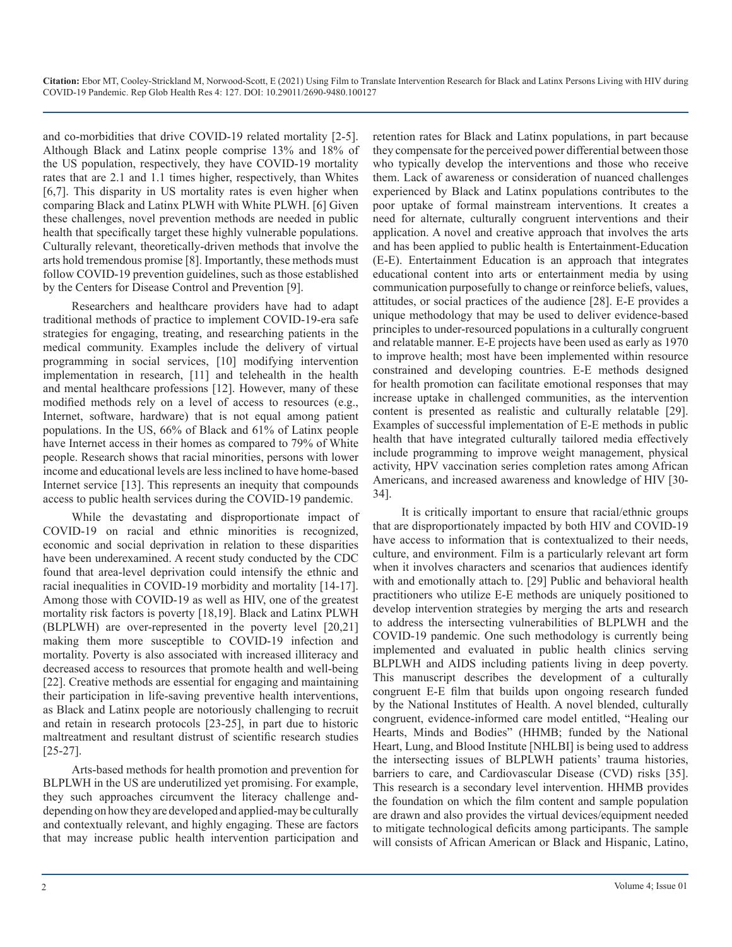and co-morbidities that drive COVID-19 related mortality [2-5]. Although Black and Latinx people comprise 13% and 18% of the US population, respectively, they have COVID-19 mortality rates that are 2.1 and 1.1 times higher, respectively, than Whites [6,7]. This disparity in US mortality rates is even higher when comparing Black and Latinx PLWH with White PLWH. [6] Given these challenges, novel prevention methods are needed in public health that specifically target these highly vulnerable populations. Culturally relevant, theoretically-driven methods that involve the arts hold tremendous promise [8]. Importantly, these methods must follow COVID-19 prevention guidelines, such as those established by the Centers for Disease Control and Prevention [9].

Researchers and healthcare providers have had to adapt traditional methods of practice to implement COVID-19-era safe strategies for engaging, treating, and researching patients in the medical community. Examples include the delivery of virtual programming in social services, [10] modifying intervention implementation in research, [11] and telehealth in the health and mental healthcare professions [12]. However, many of these modified methods rely on a level of access to resources (e.g., Internet, software, hardware) that is not equal among patient populations. In the US, 66% of Black and 61% of Latinx people have Internet access in their homes as compared to 79% of White people. Research shows that racial minorities, persons with lower income and educational levels are less inclined to have home-based Internet service [13]. This represents an inequity that compounds access to public health services during the COVID-19 pandemic.

While the devastating and disproportionate impact of COVID-19 on racial and ethnic minorities is recognized, economic and social deprivation in relation to these disparities have been underexamined. A recent study conducted by the CDC found that area-level deprivation could intensify the ethnic and racial inequalities in COVID-19 morbidity and mortality [14-17]. Among those with COVID-19 as well as HIV, one of the greatest mortality risk factors is poverty [18,19]. Black and Latinx PLWH (BLPLWH) are over-represented in the poverty level [20,21] making them more susceptible to COVID-19 infection and mortality. Poverty is also associated with increased illiteracy and decreased access to resources that promote health and well-being [22]. Creative methods are essential for engaging and maintaining their participation in life-saving preventive health interventions, as Black and Latinx people are notoriously challenging to recruit and retain in research protocols [23-25], in part due to historic maltreatment and resultant distrust of scientific research studies [25-27].

Arts-based methods for health promotion and prevention for BLPLWH in the US are underutilized yet promising. For example, they such approaches circumvent the literacy challenge anddepending on how they are developed and applied-may be culturally and contextually relevant, and highly engaging. These are factors that may increase public health intervention participation and

retention rates for Black and Latinx populations, in part because they compensate for the perceived power differential between those who typically develop the interventions and those who receive them. Lack of awareness or consideration of nuanced challenges experienced by Black and Latinx populations contributes to the poor uptake of formal mainstream interventions. It creates a need for alternate, culturally congruent interventions and their application. A novel and creative approach that involves the arts and has been applied to public health is Entertainment-Education (E-E). Entertainment Education is an approach that integrates educational content into arts or entertainment media by using communication purposefully to change or reinforce beliefs, values, attitudes, or social practices of the audience [28]. E-E provides a unique methodology that may be used to deliver evidence-based principles to under-resourced populations in a culturally congruent and relatable manner. E-E projects have been used as early as 1970 to improve health; most have been implemented within resource constrained and developing countries. E-E methods designed for health promotion can facilitate emotional responses that may increase uptake in challenged communities, as the intervention content is presented as realistic and culturally relatable [29]. Examples of successful implementation of E-E methods in public health that have integrated culturally tailored media effectively include programming to improve weight management, physical activity, HPV vaccination series completion rates among African Americans, and increased awareness and knowledge of HIV [30- 34].

It is critically important to ensure that racial/ethnic groups that are disproportionately impacted by both HIV and COVID-19 have access to information that is contextualized to their needs, culture, and environment. Film is a particularly relevant art form when it involves characters and scenarios that audiences identify with and emotionally attach to. [29] Public and behavioral health practitioners who utilize E-E methods are uniquely positioned to develop intervention strategies by merging the arts and research to address the intersecting vulnerabilities of BLPLWH and the COVID-19 pandemic. One such methodology is currently being implemented and evaluated in public health clinics serving BLPLWH and AIDS including patients living in deep poverty. This manuscript describes the development of a culturally congruent E-E film that builds upon ongoing research funded by the National Institutes of Health. A novel blended, culturally congruent, evidence-informed care model entitled, "Healing our Hearts, Minds and Bodies" (HHMB; funded by the National Heart, Lung, and Blood Institute [NHLBI] is being used to address the intersecting issues of BLPLWH patients' trauma histories, barriers to care, and Cardiovascular Disease (CVD) risks [35]. This research is a secondary level intervention. HHMB provides the foundation on which the film content and sample population are drawn and also provides the virtual devices/equipment needed to mitigate technological deficits among participants. The sample will consists of African American or Black and Hispanic, Latino,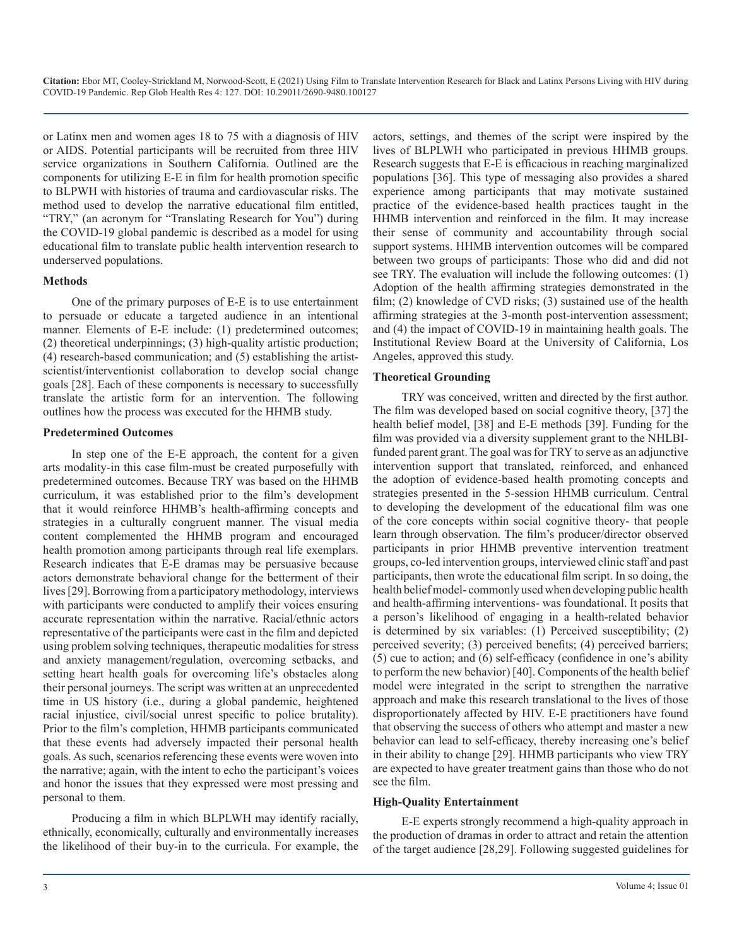or Latinx men and women ages 18 to 75 with a diagnosis of HIV or AIDS. Potential participants will be recruited from three HIV service organizations in Southern California. Outlined are the components for utilizing E-E in film for health promotion specific to BLPWH with histories of trauma and cardiovascular risks. The method used to develop the narrative educational film entitled, "TRY," (an acronym for "Translating Research for You") during the COVID-19 global pandemic is described as a model for using educational film to translate public health intervention research to underserved populations.

#### **Methods**

One of the primary purposes of E-E is to use entertainment to persuade or educate a targeted audience in an intentional manner. Elements of E-E include: (1) predetermined outcomes; (2) theoretical underpinnings; (3) high-quality artistic production; (4) research-based communication; and (5) establishing the artistscientist/interventionist collaboration to develop social change goals [28]. Each of these components is necessary to successfully translate the artistic form for an intervention. The following outlines how the process was executed for the HHMB study.

#### **Predetermined Outcomes**

In step one of the E-E approach, the content for a given arts modality-in this case film-must be created purposefully with predetermined outcomes. Because TRY was based on the HHMB curriculum, it was established prior to the film's development that it would reinforce HHMB's health-affirming concepts and strategies in a culturally congruent manner. The visual media content complemented the HHMB program and encouraged health promotion among participants through real life exemplars. Research indicates that E-E dramas may be persuasive because actors demonstrate behavioral change for the betterment of their lives [29]. Borrowing from a participatory methodology, interviews with participants were conducted to amplify their voices ensuring accurate representation within the narrative. Racial/ethnic actors representative of the participants were cast in the film and depicted using problem solving techniques, therapeutic modalities for stress and anxiety management/regulation, overcoming setbacks, and setting heart health goals for overcoming life's obstacles along their personal journeys. The script was written at an unprecedented time in US history (i.e., during a global pandemic, heightened racial injustice, civil/social unrest specific to police brutality). Prior to the film's completion, HHMB participants communicated that these events had adversely impacted their personal health goals. As such, scenarios referencing these events were woven into the narrative; again, with the intent to echo the participant's voices and honor the issues that they expressed were most pressing and personal to them.

Producing a film in which BLPLWH may identify racially, ethnically, economically, culturally and environmentally increases the likelihood of their buy-in to the curricula. For example, the

actors, settings, and themes of the script were inspired by the lives of BLPLWH who participated in previous HHMB groups. Research suggests that E-E is efficacious in reaching marginalized populations [36]. This type of messaging also provides a shared experience among participants that may motivate sustained practice of the evidence-based health practices taught in the HHMB intervention and reinforced in the film. It may increase their sense of community and accountability through social support systems. HHMB intervention outcomes will be compared between two groups of participants: Those who did and did not see TRY. The evaluation will include the following outcomes: (1) Adoption of the health affirming strategies demonstrated in the film; (2) knowledge of CVD risks; (3) sustained use of the health affirming strategies at the 3-month post-intervention assessment; and (4) the impact of COVID-19 in maintaining health goals. The Institutional Review Board at the University of California, Los Angeles, approved this study.

#### **Theoretical Grounding**

TRY was conceived, written and directed by the first author. The film was developed based on social cognitive theory, [37] the health belief model, [38] and E-E methods [39]. Funding for the film was provided via a diversity supplement grant to the NHLBIfunded parent grant. The goal was for TRY to serve as an adjunctive intervention support that translated, reinforced, and enhanced the adoption of evidence-based health promoting concepts and strategies presented in the 5-session HHMB curriculum. Central to developing the development of the educational film was one of the core concepts within social cognitive theory- that people learn through observation. The film's producer/director observed participants in prior HHMB preventive intervention treatment groups, co-led intervention groups, interviewed clinic staff and past participants, then wrote the educational film script. In so doing, the health belief model- commonly used when developing public health and health-affirming interventions- was foundational. It posits that a person's likelihood of engaging in a health-related behavior is determined by six variables: (1) Perceived susceptibility; (2) perceived severity; (3) perceived benefits; (4) perceived barriers; (5) cue to action; and (6) self-efficacy (confidence in one's ability to perform the new behavior) [40]. Components of the health belief model were integrated in the script to strengthen the narrative approach and make this research translational to the lives of those disproportionately affected by HIV. E-E practitioners have found that observing the success of others who attempt and master a new behavior can lead to self-efficacy, thereby increasing one's belief in their ability to change [29]. HHMB participants who view TRY are expected to have greater treatment gains than those who do not see the film.

#### **High-Quality Entertainment**

E-E experts strongly recommend a high-quality approach in the production of dramas in order to attract and retain the attention of the target audience [28,29]. Following suggested guidelines for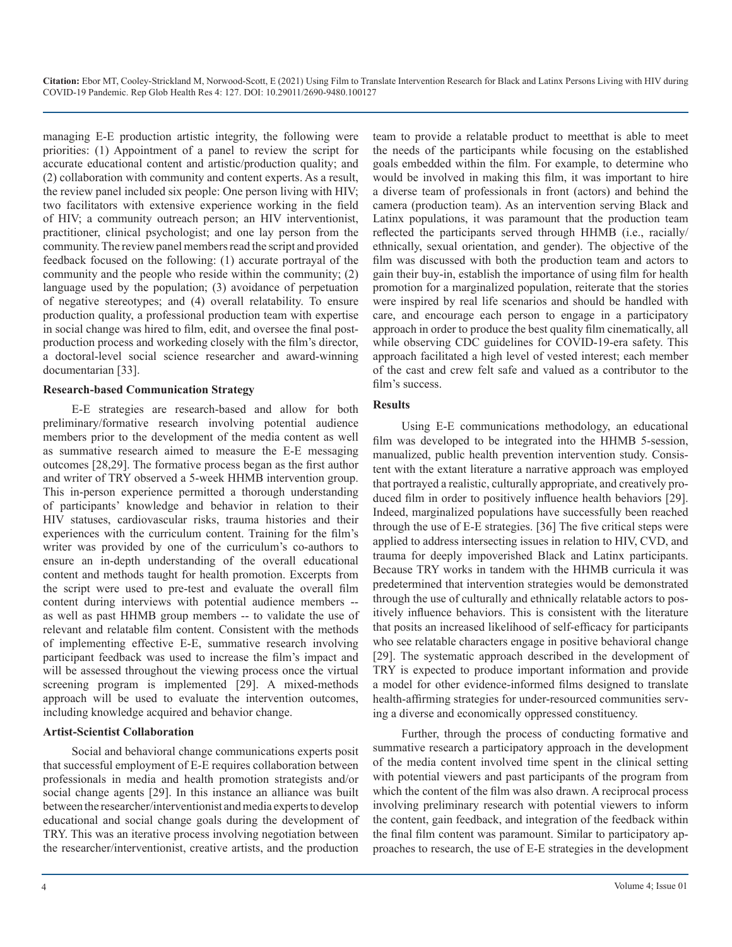**Citation:** Ebor MT, Cooley-Strickland M, Norwood-Scott, E (2021) Using Film to Translate Intervention Research for Black and Latinx Persons Living with HIV during COVID-19 Pandemic. Rep Glob Health Res 4: 127. DOI: 10.29011/2690-9480.100127

managing E-E production artistic integrity, the following were priorities: (1) Appointment of a panel to review the script for accurate educational content and artistic/production quality; and (2) collaboration with community and content experts. As a result, the review panel included six people: One person living with HIV; two facilitators with extensive experience working in the field of HIV; a community outreach person; an HIV interventionist, practitioner, clinical psychologist; and one lay person from the community. The review panel members read the script and provided feedback focused on the following: (1) accurate portrayal of the community and the people who reside within the community; (2) language used by the population; (3) avoidance of perpetuation of negative stereotypes; and (4) overall relatability. To ensure production quality, a professional production team with expertise in social change was hired to film, edit, and oversee the final postproduction process and workeding closely with the film's director, a doctoral-level social science researcher and award-winning documentarian [33].

#### **Research-based Communication Strategy**

E-E strategies are research-based and allow for both preliminary/formative research involving potential audience members prior to the development of the media content as well as summative research aimed to measure the E-E messaging outcomes [28,29]. The formative process began as the first author and writer of TRY observed a 5-week HHMB intervention group. This in-person experience permitted a thorough understanding of participants' knowledge and behavior in relation to their HIV statuses, cardiovascular risks, trauma histories and their experiences with the curriculum content. Training for the film's writer was provided by one of the curriculum's co-authors to ensure an in-depth understanding of the overall educational content and methods taught for health promotion. Excerpts from the script were used to pre-test and evaluate the overall film content during interviews with potential audience members - as well as past HHMB group members -- to validate the use of relevant and relatable film content. Consistent with the methods of implementing effective E-E, summative research involving participant feedback was used to increase the film's impact and will be assessed throughout the viewing process once the virtual screening program is implemented [29]. A mixed-methods approach will be used to evaluate the intervention outcomes, including knowledge acquired and behavior change.

#### **Artist-Scientist Collaboration**

Social and behavioral change communications experts posit that successful employment of E-E requires collaboration between professionals in media and health promotion strategists and/or social change agents [29]. In this instance an alliance was built between the researcher/interventionist and media experts to develop educational and social change goals during the development of TRY. This was an iterative process involving negotiation between the researcher/interventionist, creative artists, and the production

team to provide a relatable product to meetthat is able to meet the needs of the participants while focusing on the established goals embedded within the film. For example, to determine who would be involved in making this film, it was important to hire a diverse team of professionals in front (actors) and behind the camera (production team). As an intervention serving Black and Latinx populations, it was paramount that the production team reflected the participants served through HHMB (i.e., racially/ ethnically, sexual orientation, and gender). The objective of the film was discussed with both the production team and actors to gain their buy-in, establish the importance of using film for health promotion for a marginalized population, reiterate that the stories were inspired by real life scenarios and should be handled with care, and encourage each person to engage in a participatory approach in order to produce the best quality film cinematically, all while observing CDC guidelines for COVID-19-era safety. This approach facilitated a high level of vested interest; each member of the cast and crew felt safe and valued as a contributor to the film's success.

#### **Results**

Using E-E communications methodology, an educational film was developed to be integrated into the HHMB 5-session, manualized, public health prevention intervention study. Consistent with the extant literature a narrative approach was employed that portrayed a realistic, culturally appropriate, and creatively produced film in order to positively influence health behaviors [29]. Indeed, marginalized populations have successfully been reached through the use of E-E strategies. [36] The five critical steps were applied to address intersecting issues in relation to HIV, CVD, and trauma for deeply impoverished Black and Latinx participants. Because TRY works in tandem with the HHMB curricula it was predetermined that intervention strategies would be demonstrated through the use of culturally and ethnically relatable actors to positively influence behaviors. This is consistent with the literature that posits an increased likelihood of self-efficacy for participants who see relatable characters engage in positive behavioral change [29]. The systematic approach described in the development of TRY is expected to produce important information and provide a model for other evidence-informed films designed to translate health-affirming strategies for under-resourced communities serving a diverse and economically oppressed constituency.

Further, through the process of conducting formative and summative research a participatory approach in the development of the media content involved time spent in the clinical setting with potential viewers and past participants of the program from which the content of the film was also drawn. A reciprocal process involving preliminary research with potential viewers to inform the content, gain feedback, and integration of the feedback within the final film content was paramount. Similar to participatory approaches to research, the use of E-E strategies in the development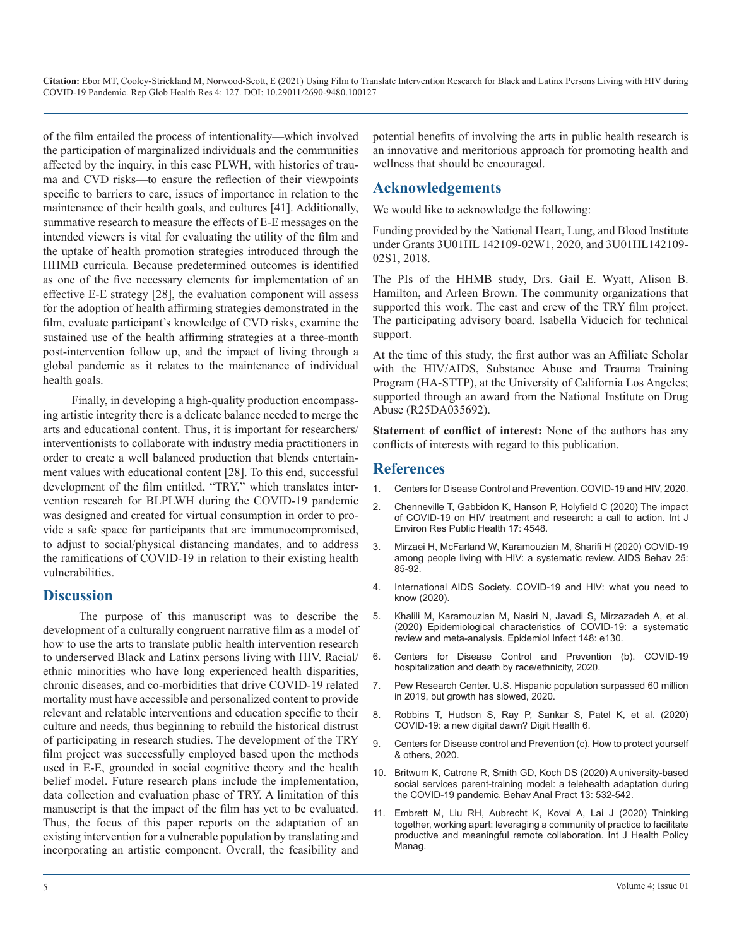**Citation:** Ebor MT, Cooley-Strickland M, Norwood-Scott, E (2021) Using Film to Translate Intervention Research for Black and Latinx Persons Living with HIV during COVID-19 Pandemic. Rep Glob Health Res 4: 127. DOI: 10.29011/2690-9480.100127

of the film entailed the process of intentionality—which involved the participation of marginalized individuals and the communities affected by the inquiry, in this case PLWH, with histories of trauma and CVD risks—to ensure the reflection of their viewpoints specific to barriers to care, issues of importance in relation to the maintenance of their health goals, and cultures [41]. Additionally, summative research to measure the effects of E-E messages on the intended viewers is vital for evaluating the utility of the film and the uptake of health promotion strategies introduced through the HHMB curricula. Because predetermined outcomes is identified as one of the five necessary elements for implementation of an effective E-E strategy [28], the evaluation component will assess for the adoption of health affirming strategies demonstrated in the film, evaluate participant's knowledge of CVD risks, examine the sustained use of the health affirming strategies at a three-month post-intervention follow up, and the impact of living through a global pandemic as it relates to the maintenance of individual health goals.

Finally, in developing a high-quality production encompassing artistic integrity there is a delicate balance needed to merge the arts and educational content. Thus, it is important for researchers/ interventionists to collaborate with industry media practitioners in order to create a well balanced production that blends entertainment values with educational content [28]. To this end, successful development of the film entitled, "TRY," which translates intervention research for BLPLWH during the COVID-19 pandemic was designed and created for virtual consumption in order to provide a safe space for participants that are immunocompromised, to adjust to social/physical distancing mandates, and to address the ramifications of COVID-19 in relation to their existing health vulnerabilities.

#### **Discussion**

The purpose of this manuscript was to describe the development of a culturally congruent narrative film as a model of how to use the arts to translate public health intervention research to underserved Black and Latinx persons living with HIV. Racial/ ethnic minorities who have long experienced health disparities, chronic diseases, and co-morbidities that drive COVID-19 related mortality must have accessible and personalized content to provide relevant and relatable interventions and education specific to their culture and needs, thus beginning to rebuild the historical distrust of participating in research studies. The development of the TRY film project was successfully employed based upon the methods used in E-E, grounded in social cognitive theory and the health belief model. Future research plans include the implementation, data collection and evaluation phase of TRY. A limitation of this manuscript is that the impact of the film has yet to be evaluated. Thus, the focus of this paper reports on the adaptation of an existing intervention for a vulnerable population by translating and incorporating an artistic component. Overall, the feasibility and

potential benefits of involving the arts in public health research is an innovative and meritorious approach for promoting health and wellness that should be encouraged.

### **Acknowledgements**

We would like to acknowledge the following:

Funding provided by the National Heart, Lung, and Blood Institute under Grants 3U01HL 142109-02W1, 2020, and 3U01HL142109- 02S1, 2018.

The PIs of the HHMB study, Drs. Gail E. Wyatt, Alison B. Hamilton, and Arleen Brown. The community organizations that supported this work. The cast and crew of the TRY film project. The participating advisory board. Isabella Viducich for technical support.

At the time of this study, the first author was an Affiliate Scholar with the HIV/AIDS, Substance Abuse and Trauma Training Program (HA-STTP), at the University of California Los Angeles; supported through an award from the National Institute on Drug Abuse (R25DA035692).

**Statement of conflict of interest:** None of the authors has any conflicts of interests with regard to this publication.

#### **References**

- 1. [Centers for Disease Control and Prevention. COVID-19 and HIV, 2020.](https://www.cdc.gov/hiv/covid-19/index.html)
- 2. [Chenneville T, Gabbidon K, Hanson P, Holyfield C \(2020\) The impact](https://www.mdpi.com/1660-4601/17/12/4548)  [of COVID-19 on HIV treatment and research: a call to action. Int J](https://www.mdpi.com/1660-4601/17/12/4548)  [Environ Res Public Health 1](https://www.mdpi.com/1660-4601/17/12/4548)**7**: 4548.
- 3. [Mirzaei H, McFarland W, Karamouzian M, Sharifi H \(2020\) COVID-19](https://link.springer.com/article/10.1007/s10461-020-02983-2)  [among people living with HIV: a systematic review. AIDS Behav 25:](https://link.springer.com/article/10.1007/s10461-020-02983-2)  [85-92.](https://link.springer.com/article/10.1007/s10461-020-02983-2)
- 4. [International AIDS Society. COVID-19 and HIV: what you need to](https://www.iasociety.org/covid-19-hiv)  [know \(2020\)](https://www.iasociety.org/covid-19-hiv).
- 5. [Khalili M, Karamouzian M, Nasiri N, Javadi S, Mirzazadeh A, et al.](https://www.cambridge.org/core/journals/epidemiology-and-infection/article/epidemiological-characteristics-of-covid19-a-systematic-review-and-metaanalysis/8B565B2FE5A97054E8B2564FB2CE6D3E)  [\(2020\) Epidemiological characteristics of COVID-19: a systematic](https://www.cambridge.org/core/journals/epidemiology-and-infection/article/epidemiological-characteristics-of-covid19-a-systematic-review-and-metaanalysis/8B565B2FE5A97054E8B2564FB2CE6D3E)  [review and meta-analysis. Epidemiol Infect 148: e130.](https://www.cambridge.org/core/journals/epidemiology-and-infection/article/epidemiological-characteristics-of-covid19-a-systematic-review-and-metaanalysis/8B565B2FE5A97054E8B2564FB2CE6D3E)
- 6. [Centers for Disease Control and Prevention \(b\). COVID-19](https://www.cdc.gov/coronavirus/2019-ncov/covid-data/investigations-discovery/hospitalization-death-by-race-ethnicity.html)  [hospitalization and death by race/ethnicity, 2020.](https://www.cdc.gov/coronavirus/2019-ncov/covid-data/investigations-discovery/hospitalization-death-by-race-ethnicity.html)
- 7. [Pew Research Center. U.S. Hispanic population surpassed 60 million](https://www.pewresearch.org/fact-tank/2020/07/07/u-s-hispanic-population-surpassed-60-million-in-2019-but-growth-has-slowed/)  [in 2019, but growth has slowed, 2020.](https://www.pewresearch.org/fact-tank/2020/07/07/u-s-hispanic-population-surpassed-60-million-in-2019-but-growth-has-slowed/)
- 8. [Robbins T, Hudson S, Ray P, Sankar S, Patel K, et al. \(2020\)](https://journals.sagepub.com/doi/10.1177/2055207620920083)  [COVID-19: a new digital dawn? Digit Health 6.](https://journals.sagepub.com/doi/10.1177/2055207620920083)
- 9. [Centers for Disease control and Prevention \(c\). How to protect yourself](https://www.cdc.gov/coronavirus/2019-ncov/prevent-getting-sick/prevention.html)  [& others, 2020.](https://www.cdc.gov/coronavirus/2019-ncov/prevent-getting-sick/prevention.html)
- 10. [Britwum K, Catrone R, Smith GD, Koch DS \(2020\) A university-based](https://link.springer.com/article/10.1007%2Fs40617-020-00450-x)  [social services parent-training model: a telehealth adaptation during](https://link.springer.com/article/10.1007%2Fs40617-020-00450-x)  [the COVID-19 pandemic. Behav Anal Pract 13: 532-542.](https://link.springer.com/article/10.1007%2Fs40617-020-00450-x)
- 11. [Embrett M, Liu RH, Aubrecht K, Koval A, Lai J \(2020\) Thinking](https://www.ijhpm.com/article_3854.html)  [together, working apart: leveraging a community of practice to facilitate](https://www.ijhpm.com/article_3854.html)  [productive and meaningful remote collaboration. Int J Health Policy](https://www.ijhpm.com/article_3854.html)  [Manag.](https://www.ijhpm.com/article_3854.html)